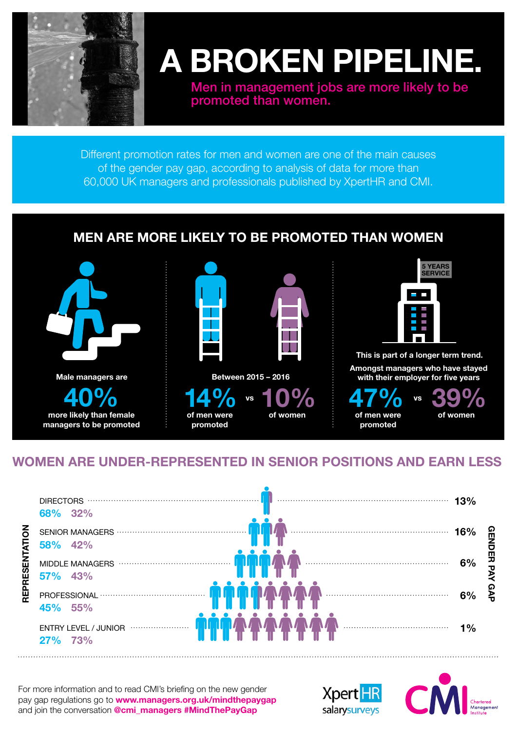

## **A BROKEN PIPELINE.**

Men in management jobs are more likely to be promoted than women.

Different promotion rates for men and women are one of the main causes of the gender pay gap, according to analysis of data for more than 60,000 UK managers and professionals published by XpertHR and CMI.

## **MEN ARE MORE LIKELY TO BE PROMOTED THAN WOMEN**



## **WOMEN ARE UNDER-REPRESENTED IN SENIOR POSITIONS AND EARN LESS**

|                | 68% 32%                                                  |     |        |
|----------------|----------------------------------------------------------|-----|--------|
| REPRESENTATION | 58% 42%                                                  | 16% |        |
|                | 57% 43%                                                  | 6%  | 띺<br>τ |
|                | 45% 55%                                                  | 6%  |        |
|                | $\blacksquare$<br><b>ENTRY LEVEL / JUNIOR</b><br>27% 73% | 1%  |        |

For more information and to read CMI's briefing on the new gender pay gap regulations go to **www.managers.org.uk/mindthepaygap** and join the conversation **@cmi\_managers #MindThePayGap**